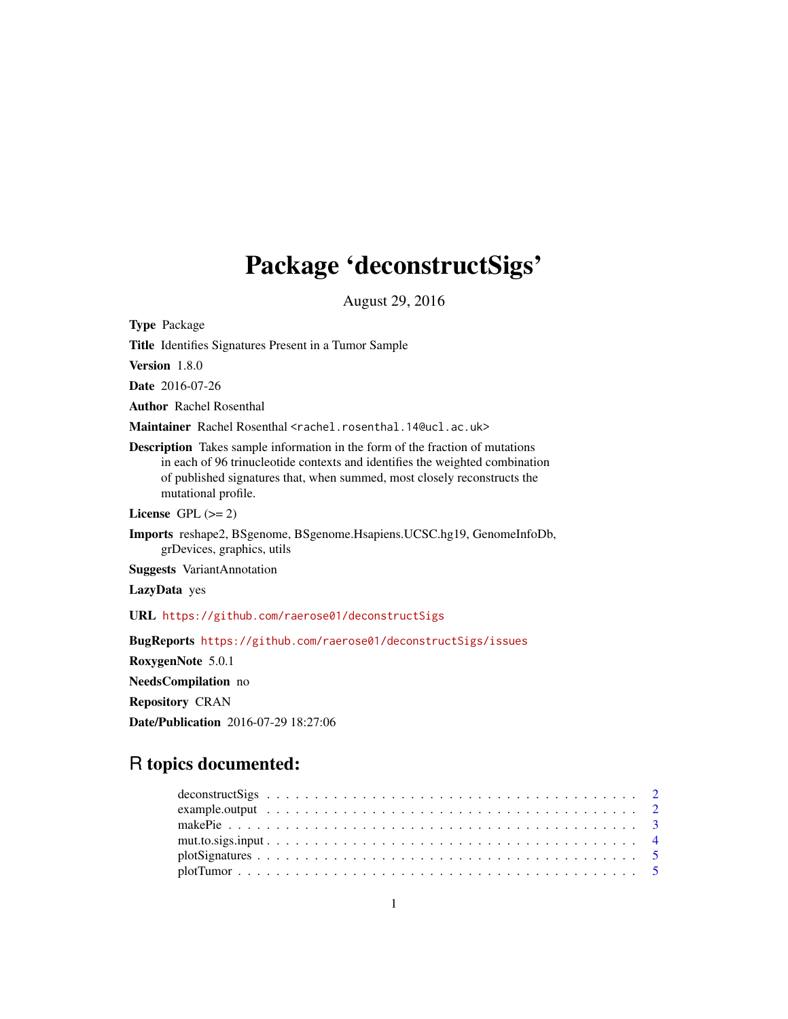## Package 'deconstructSigs'

August 29, 2016

Type Package Title Identifies Signatures Present in a Tumor Sample Version 1.8.0 Date 2016-07-26 Author Rachel Rosenthal Maintainer Rachel Rosenthal <rachel.rosenthal.14@ucl.ac.uk> Description Takes sample information in the form of the fraction of mutations in each of 96 trinucleotide contexts and identifies the weighted combination of published signatures that, when summed, most closely reconstructs the mutational profile. License GPL  $(>= 2)$ Imports reshape2, BSgenome, BSgenome.Hsapiens.UCSC.hg19, GenomeInfoDb, grDevices, graphics, utils Suggests VariantAnnotation LazyData yes URL <https://github.com/raerose01/deconstructSigs> BugReports <https://github.com/raerose01/deconstructSigs/issues> RoxygenNote 5.0.1 NeedsCompilation no Repository CRAN Date/Publication 2016-07-29 18:27:06

### R topics documented: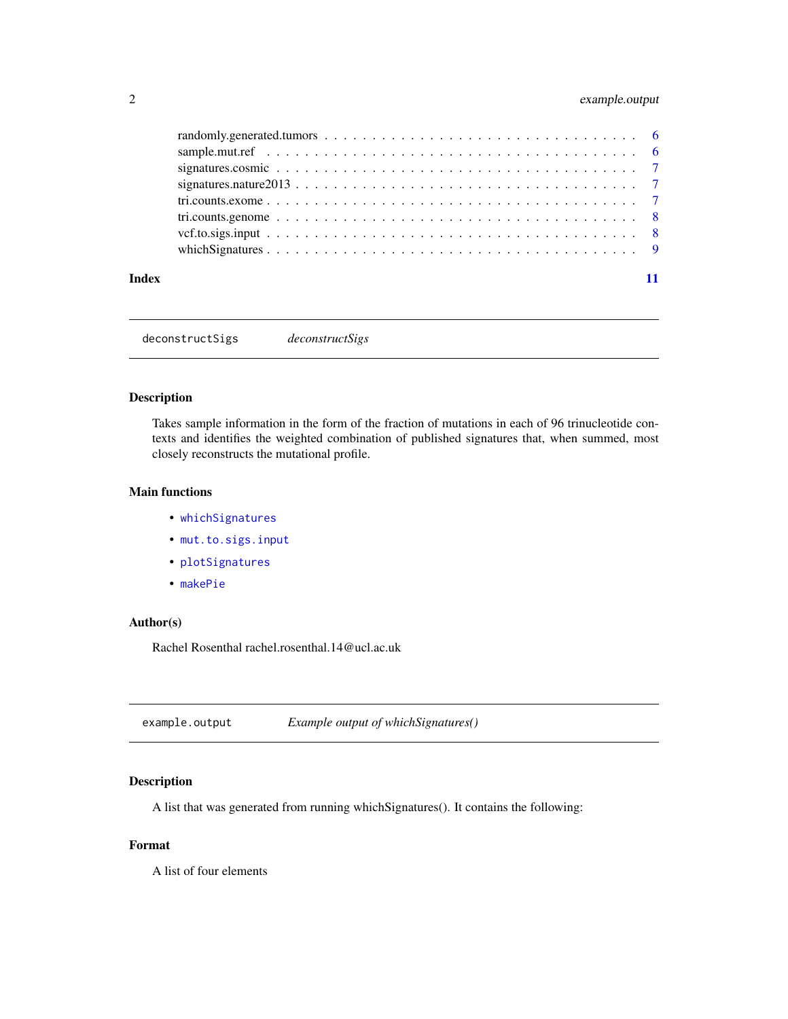### <span id="page-1-0"></span>2 example.output

| Index |  |
|-------|--|

deconstructSigs *deconstructSigs*

#### Description

Takes sample information in the form of the fraction of mutations in each of 96 trinucleotide contexts and identifies the weighted combination of published signatures that, when summed, most closely reconstructs the mutational profile.

#### Main functions

- [whichSignatures](#page-8-1)
- [mut.to.sigs.input](#page-3-1)
- [plotSignatures](#page-4-1)
- [makePie](#page-2-1)

#### Author(s)

Rachel Rosenthal rachel.rosenthal.14@ucl.ac.uk

example.output *Example output of whichSignatures()*

#### Description

A list that was generated from running whichSignatures(). It contains the following:

#### Format

A list of four elements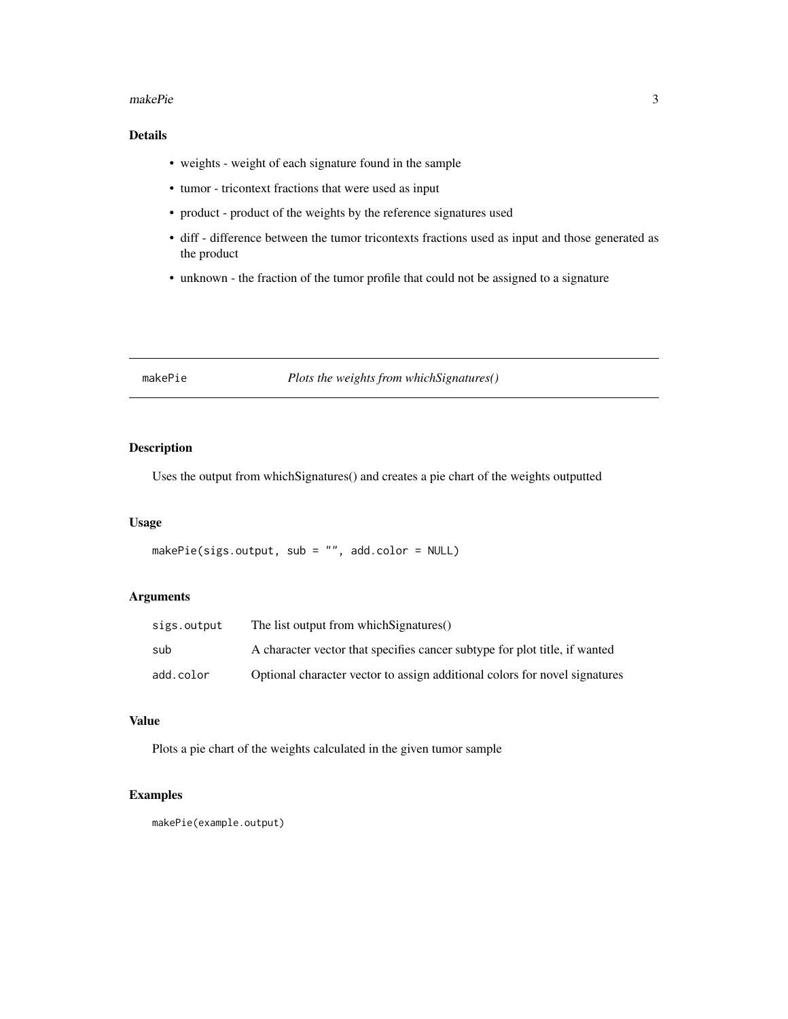#### <span id="page-2-0"></span>makePie 3

#### Details

- weights weight of each signature found in the sample
- tumor tricontext fractions that were used as input
- product product of the weights by the reference signatures used
- diff difference between the tumor tricontexts fractions used as input and those generated as the product
- unknown the fraction of the tumor profile that could not be assigned to a signature

#### <span id="page-2-1"></span>makePie *Plots the weights from whichSignatures()*

#### Description

Uses the output from whichSignatures() and creates a pie chart of the weights outputted

#### Usage

```
makePie(sigs.output, sub = "", add.color = NULL)
```
#### Arguments

| sigs.output | The list output from which Signatures()                                    |
|-------------|----------------------------------------------------------------------------|
| sub         | A character vector that specifies cancer subtype for plot title, if wanted |
| add.color   | Optional character vector to assign additional colors for novel signatures |

#### Value

Plots a pie chart of the weights calculated in the given tumor sample

#### Examples

makePie(example.output)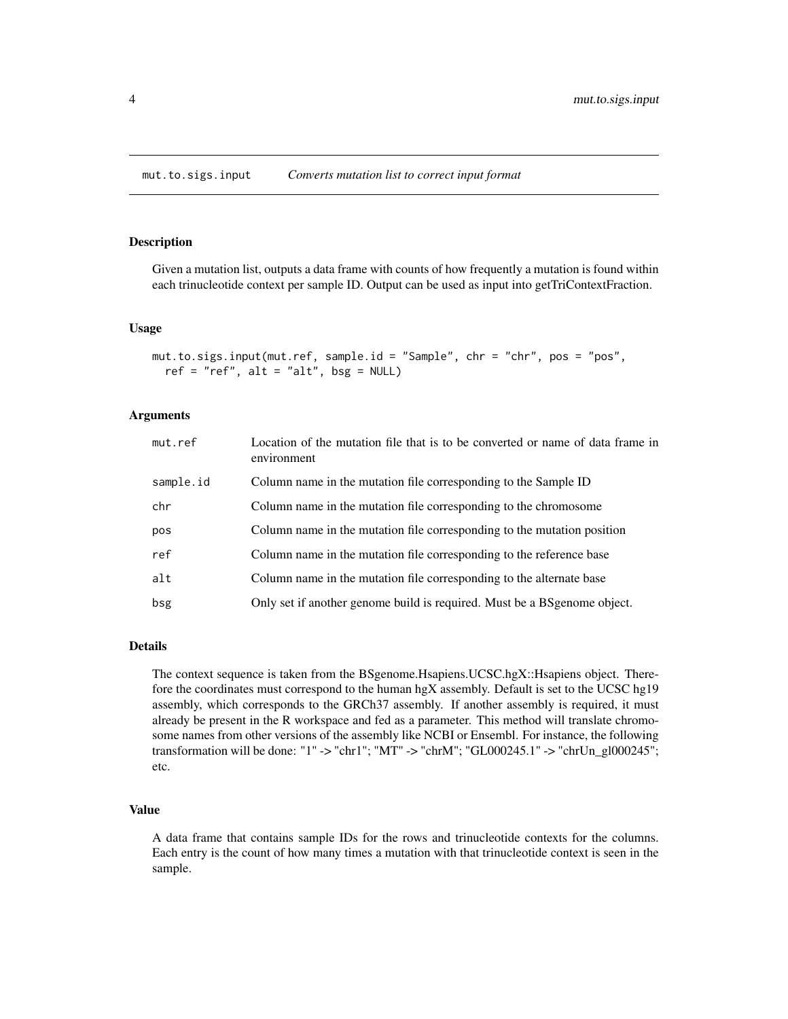#### <span id="page-3-1"></span><span id="page-3-0"></span>Description

Given a mutation list, outputs a data frame with counts of how frequently a mutation is found within each trinucleotide context per sample ID. Output can be used as input into getTriContextFraction.

#### Usage

```
mut.to.sigs.input(mut.ref, sample.id = "Sample", chr = "chr", pos = "pos",
  ref = "ref", alt = "alt", bsg = NULL)
```
#### Arguments

| mut.ref   | Location of the mutation file that is to be converted or name of data frame in<br>environment |
|-----------|-----------------------------------------------------------------------------------------------|
| sample.id | Column name in the mutation file corresponding to the Sample ID                               |
| chr       | Column name in the mutation file corresponding to the chromosome                              |
| pos       | Column name in the mutation file corresponding to the mutation position                       |
| ref       | Column name in the mutation file corresponding to the reference base                          |
| alt       | Column name in the mutation file corresponding to the alternate base                          |
| bsg       | Only set if another genome build is required. Must be a BSgenome object.                      |

#### Details

The context sequence is taken from the BSgenome.Hsapiens.UCSC.hgX::Hsapiens object. Therefore the coordinates must correspond to the human hgX assembly. Default is set to the UCSC hg19 assembly, which corresponds to the GRCh37 assembly. If another assembly is required, it must already be present in the R workspace and fed as a parameter. This method will translate chromosome names from other versions of the assembly like NCBI or Ensembl. For instance, the following transformation will be done: "1" -> "chr1"; "MT" -> "chrM"; "GL000245.1" -> "chrUn\_gl000245"; etc.

#### Value

A data frame that contains sample IDs for the rows and trinucleotide contexts for the columns. Each entry is the count of how many times a mutation with that trinucleotide context is seen in the sample.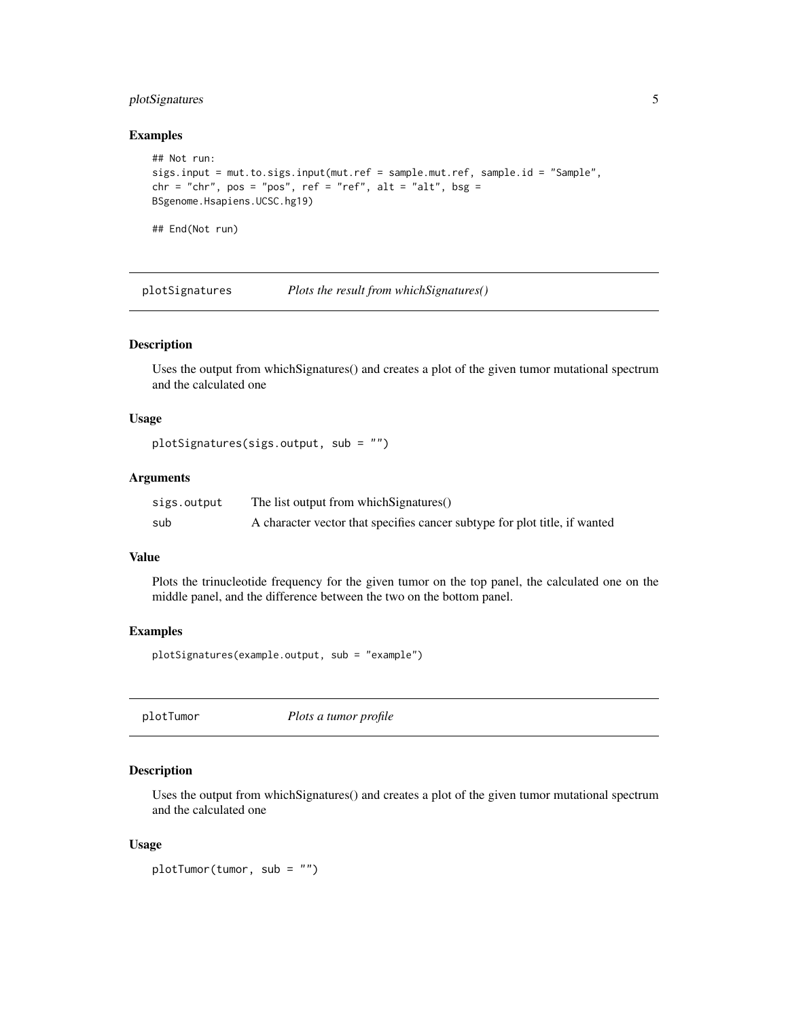#### <span id="page-4-0"></span>plotSignatures 5

#### Examples

```
## Not run:
sigs.input = mut.to.sigs.input(mut.ref = sample.mut.ref, sample.id = "Sample",
chr = "chr", pos = "pos", ref = "ref", alt = "alt", bsg =
BSgenome.Hsapiens.UCSC.hg19)
```
## End(Not run)

<span id="page-4-1"></span>plotSignatures *Plots the result from whichSignatures()*

#### Description

Uses the output from whichSignatures() and creates a plot of the given tumor mutational spectrum and the calculated one

#### Usage

```
plotSignatures(sigs.output, sub = "")
```
#### Arguments

| sigs.output | The list output from which Signatures()                                    |
|-------------|----------------------------------------------------------------------------|
| sub         | A character vector that specifies cancer subtype for plot title, if wanted |

#### Value

Plots the trinucleotide frequency for the given tumor on the top panel, the calculated one on the middle panel, and the difference between the two on the bottom panel.

#### Examples

```
plotSignatures(example.output, sub = "example")
```
plotTumor *Plots a tumor profile*

#### Description

Uses the output from whichSignatures() and creates a plot of the given tumor mutational spectrum and the calculated one

#### Usage

```
plotTumor(tumor, sub = "")
```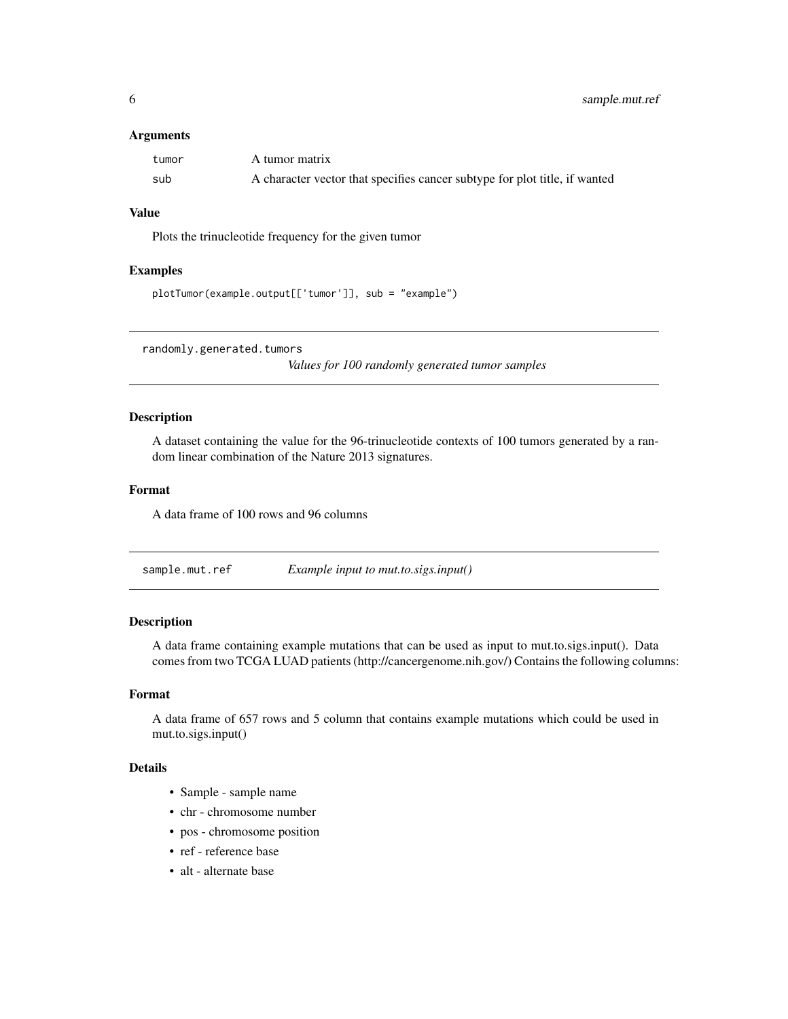#### <span id="page-5-0"></span>**Arguments**

| tumor | A tumor matrix                                                             |
|-------|----------------------------------------------------------------------------|
| sub   | A character vector that specifies cancer subtype for plot title, if wanted |

#### Value

Plots the trinucleotide frequency for the given tumor

#### Examples

```
plotTumor(example.output[['tumor']], sub = "example")
```
randomly.generated.tumors

*Values for 100 randomly generated tumor samples*

#### Description

A dataset containing the value for the 96-trinucleotide contexts of 100 tumors generated by a random linear combination of the Nature 2013 signatures.

#### Format

A data frame of 100 rows and 96 columns

sample.mut.ref *Example input to mut.to.sigs.input()*

#### Description

A data frame containing example mutations that can be used as input to mut.to.sigs.input(). Data comes from two TCGA LUAD patients (http://cancergenome.nih.gov/) Contains the following columns:

#### Format

A data frame of 657 rows and 5 column that contains example mutations which could be used in mut.to.sigs.input()

#### Details

- Sample sample name
- chr chromosome number
- pos chromosome position
- ref reference base
- alt alternate base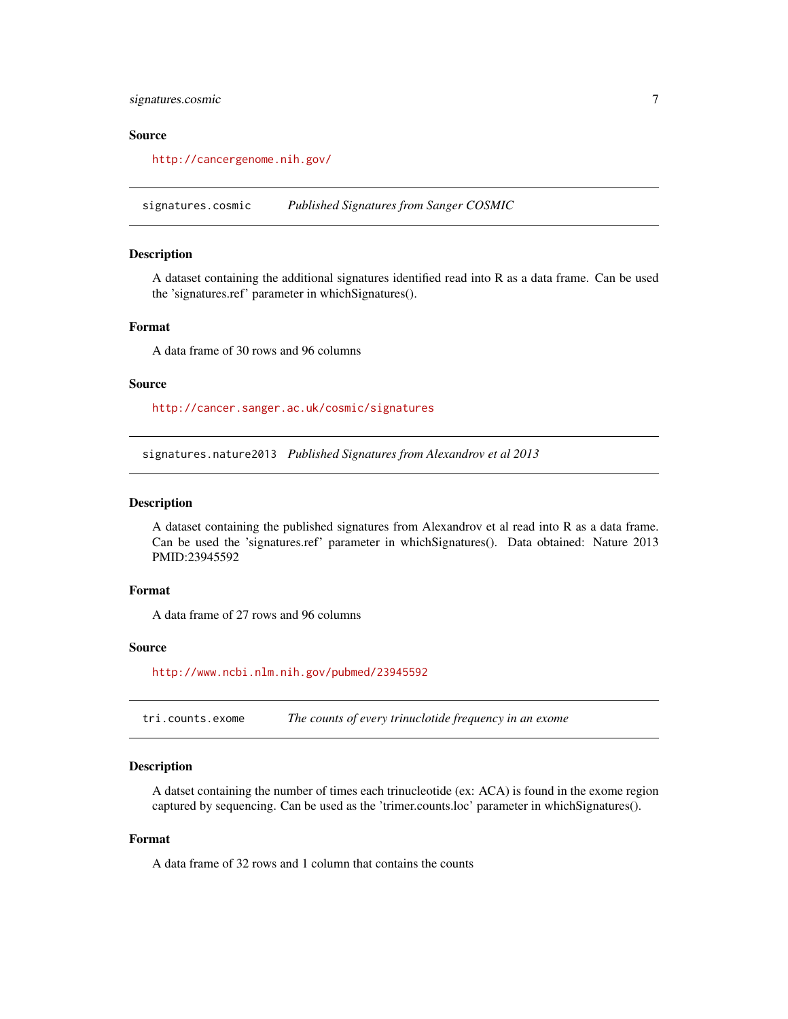#### <span id="page-6-0"></span>signatures.cosmic 7

#### Source

<http://cancergenome.nih.gov/>

signatures.cosmic *Published Signatures from Sanger COSMIC*

#### Description

A dataset containing the additional signatures identified read into R as a data frame. Can be used the 'signatures.ref' parameter in whichSignatures().

#### Format

A data frame of 30 rows and 96 columns

#### Source

<http://cancer.sanger.ac.uk/cosmic/signatures>

signatures.nature2013 *Published Signatures from Alexandrov et al 2013*

#### **Description**

A dataset containing the published signatures from Alexandrov et al read into R as a data frame. Can be used the 'signatures.ref' parameter in whichSignatures(). Data obtained: Nature 2013 PMID:23945592

#### Format

A data frame of 27 rows and 96 columns

#### Source

<http://www.ncbi.nlm.nih.gov/pubmed/23945592>

tri.counts.exome *The counts of every trinuclotide frequency in an exome*

#### Description

A datset containing the number of times each trinucleotide (ex: ACA) is found in the exome region captured by sequencing. Can be used as the 'trimer.counts.loc' parameter in whichSignatures().

#### Format

A data frame of 32 rows and 1 column that contains the counts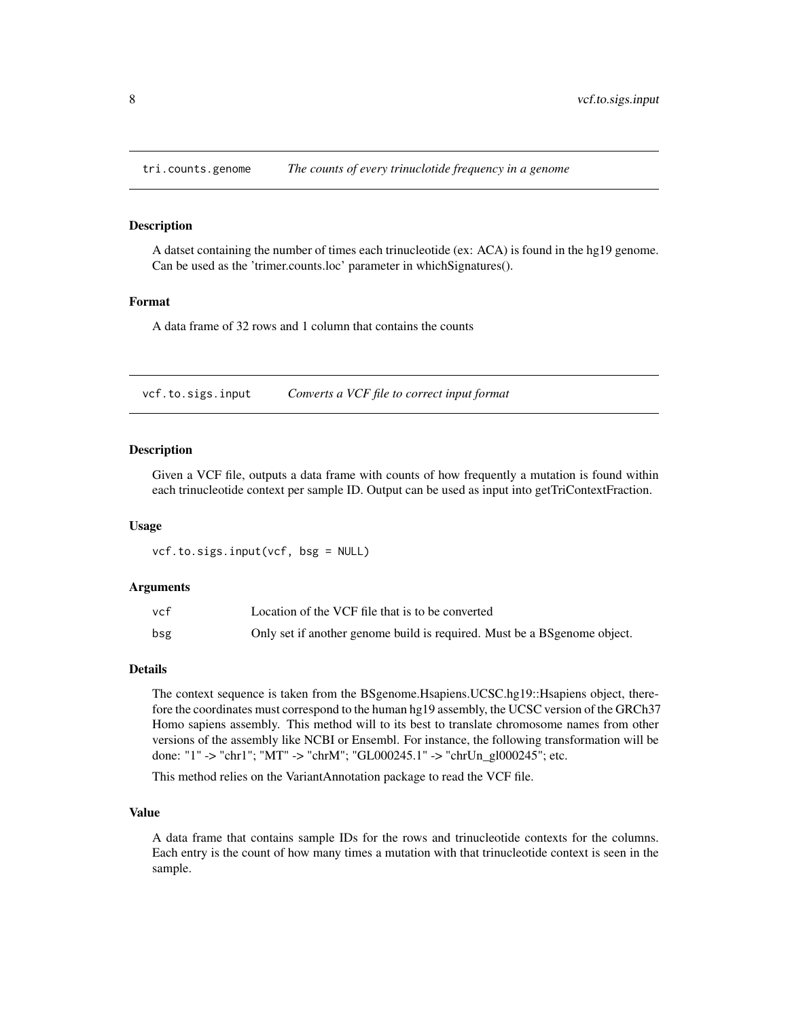<span id="page-7-0"></span>

#### **Description**

A datset containing the number of times each trinucleotide (ex: ACA) is found in the hg19 genome. Can be used as the 'trimer.counts.loc' parameter in whichSignatures().

#### Format

A data frame of 32 rows and 1 column that contains the counts

vcf.to.sigs.input *Converts a VCF file to correct input format*

#### Description

Given a VCF file, outputs a data frame with counts of how frequently a mutation is found within each trinucleotide context per sample ID. Output can be used as input into getTriContextFraction.

#### Usage

vcf.to.sigs.input(vcf, bsg = NULL)

#### Arguments

| vcf | Location of the VCF file that is to be converted                          |
|-----|---------------------------------------------------------------------------|
| bsg | Only set if another genome build is required. Must be a BS genome object. |

#### Details

The context sequence is taken from the BSgenome.Hsapiens.UCSC.hg19::Hsapiens object, therefore the coordinates must correspond to the human hg19 assembly, the UCSC version of the GRCh37 Homo sapiens assembly. This method will to its best to translate chromosome names from other versions of the assembly like NCBI or Ensembl. For instance, the following transformation will be done: "1" -> "chr1"; "MT" -> "chrM"; "GL000245.1" -> "chrUn\_gl000245"; etc.

This method relies on the VariantAnnotation package to read the VCF file.

#### Value

A data frame that contains sample IDs for the rows and trinucleotide contexts for the columns. Each entry is the count of how many times a mutation with that trinucleotide context is seen in the sample.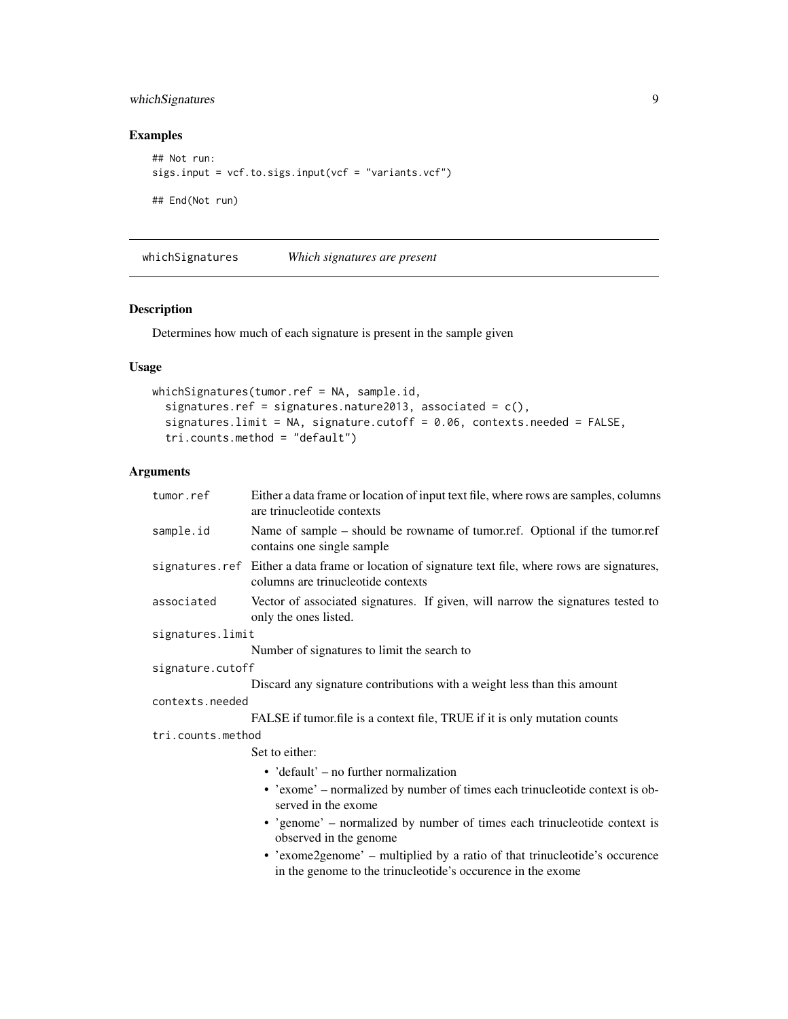### <span id="page-8-0"></span>whichSignatures 9

### Examples

```
## Not run:
sigs.input = vcf.to.sigs.input(vcf = "variants.vcf")
## End(Not run)
```
<span id="page-8-1"></span>whichSignatures *Which signatures are present*

#### Description

Determines how much of each signature is present in the sample given

#### Usage

```
whichSignatures(tumor.ref = NA, sample.id,
  signatures.ref = signatures.nature2013, associated = c(),
  signatures.limit = NA, signature.cutoff = 0.06, contexts.needed = FALSE,
  tri.counts.method = "default")
```
#### Arguments

| tumor.ref         | Either a data frame or location of input text file, where rows are samples, columns<br>are trinucleotide contexts                         |
|-------------------|-------------------------------------------------------------------------------------------------------------------------------------------|
| sample.id         | Name of sample – should be rowname of tumor.ref. Optional if the tumor.ref<br>contains one single sample                                  |
|                   | signatures.ref Either a data frame or location of signature text file, where rows are signatures,<br>columns are trinucleotide contexts   |
| associated        | Vector of associated signatures. If given, will narrow the signatures tested to<br>only the ones listed.                                  |
| signatures.limit  |                                                                                                                                           |
|                   | Number of signatures to limit the search to                                                                                               |
| signature.cutoff  |                                                                                                                                           |
|                   | Discard any signature contributions with a weight less than this amount                                                                   |
| contexts.needed   |                                                                                                                                           |
|                   | FALSE if tumor.file is a context file, TRUE if it is only mutation counts                                                                 |
| tri.counts.method |                                                                                                                                           |
|                   | Set to either:                                                                                                                            |
|                   | • $'default' - no further normalization$                                                                                                  |
|                   | • 'exome' – normalized by number of times each trinucleotide context is ob-<br>served in the exome                                        |
|                   | • 'genome' – normalized by number of times each trinucleotide context is<br>observed in the genome                                        |
|                   | • 'exome2genome' – multiplied by a ratio of that trinucleotide's occurence<br>in the genome to the trinucleotide's occurence in the exome |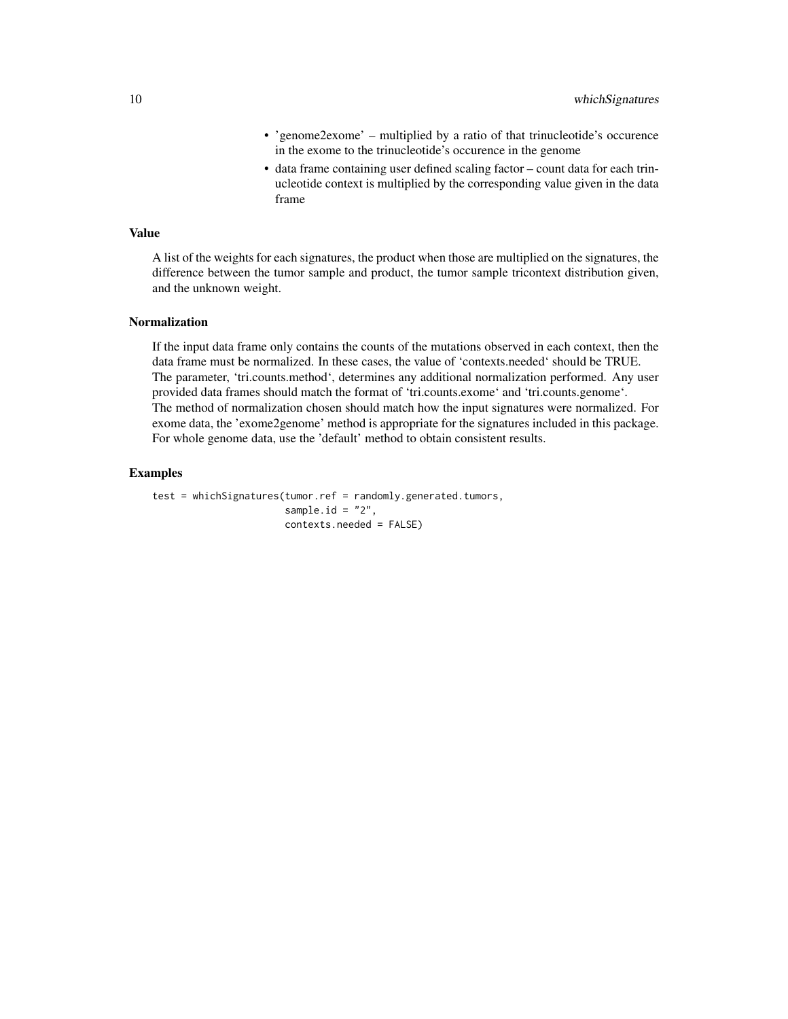- 'genome2exome' multiplied by a ratio of that trinucleotide's occurence in the exome to the trinucleotide's occurence in the genome
- data frame containing user defined scaling factor count data for each trinucleotide context is multiplied by the corresponding value given in the data frame

#### Value

A list of the weights for each signatures, the product when those are multiplied on the signatures, the difference between the tumor sample and product, the tumor sample tricontext distribution given, and the unknown weight.

#### Normalization

If the input data frame only contains the counts of the mutations observed in each context, then the data frame must be normalized. In these cases, the value of 'contexts.needed' should be TRUE. The parameter, 'tri.counts.method', determines any additional normalization performed. Any user provided data frames should match the format of 'tri.counts.exome' and 'tri.counts.genome'. The method of normalization chosen should match how the input signatures were normalized. For exome data, the 'exome2genome' method is appropriate for the signatures included in this package. For whole genome data, use the 'default' method to obtain consistent results.

#### Examples

```
test = whichSignatures(tumor.ref = randomly.generated.tumors,
                      square.id = "2",
                       contexts.needed = FALSE)
```